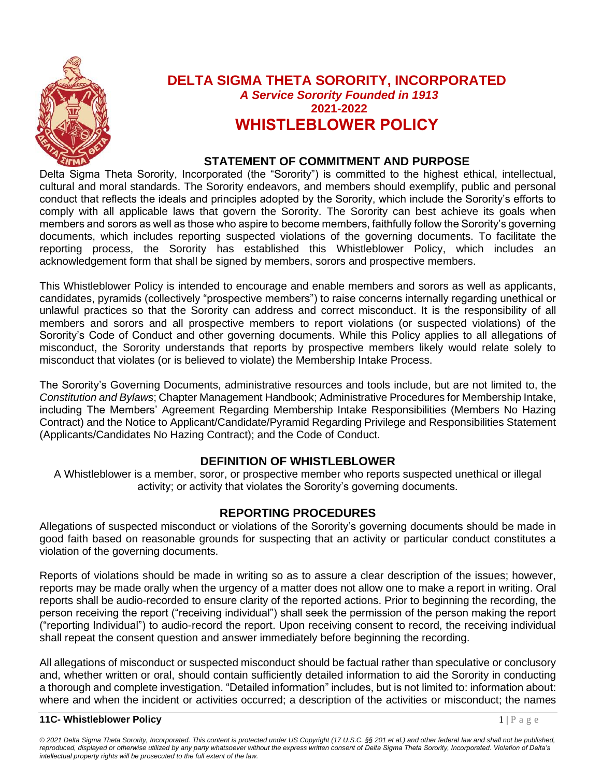

### **DELTA SIGMA THETA SORORITY, INCORPORATED** *A Service Sorority Founded in 1913* **2021-2022 WHISTLEBLOWER POLICY**

#### **STATEMENT OF COMMITMENT AND PURPOSE**

Delta Sigma Theta Sorority, Incorporated (the "Sorority") is committed to the highest ethical, intellectual, cultural and moral standards. The Sorority endeavors, and members should exemplify, public and personal conduct that reflects the ideals and principles adopted by the Sorority, which include the Sorority's efforts to comply with all applicable laws that govern the Sorority. The Sorority can best achieve its goals when members and sorors as well as those who aspire to become members, faithfully follow the Sorority's governing documents, which includes reporting suspected violations of the governing documents. To facilitate the reporting process, the Sorority has established this Whistleblower Policy, which includes an acknowledgement form that shall be signed by members, sorors and prospective members.

This Whistleblower Policy is intended to encourage and enable members and sorors as well as applicants, candidates, pyramids (collectively "prospective members") to raise concerns internally regarding unethical or unlawful practices so that the Sorority can address and correct misconduct. It is the responsibility of all members and sorors and all prospective members to report violations (or suspected violations) of the Sorority's Code of Conduct and other governing documents. While this Policy applies to all allegations of misconduct, the Sorority understands that reports by prospective members likely would relate solely to misconduct that violates (or is believed to violate) the Membership Intake Process.

The Sorority's Governing Documents, administrative resources and tools include, but are not limited to, the *Constitution and Bylaws*; Chapter Management Handbook; Administrative Procedures for Membership Intake, including The Members' Agreement Regarding Membership Intake Responsibilities (Members No Hazing Contract) and the Notice to Applicant/Candidate/Pyramid Regarding Privilege and Responsibilities Statement (Applicants/Candidates No Hazing Contract); and the Code of Conduct.

#### **DEFINITION OF WHISTLEBLOWER**

A Whistleblower is a member, soror, or prospective member who reports suspected unethical or illegal activity; or activity that violates the Sorority's governing documents.

#### **REPORTING PROCEDURES**

Allegations of suspected misconduct or violations of the Sorority's governing documents should be made in good faith based on reasonable grounds for suspecting that an activity or particular conduct constitutes a violation of the governing documents.

Reports of violations should be made in writing so as to assure a clear description of the issues; however, reports may be made orally when the urgency of a matter does not allow one to make a report in writing. Oral reports shall be audio-recorded to ensure clarity of the reported actions. Prior to beginning the recording, the person receiving the report ("receiving individual") shall seek the permission of the person making the report ("reporting Individual") to audio-record the report. Upon receiving consent to record, the receiving individual shall repeat the consent question and answer immediately before beginning the recording.

All allegations of misconduct or suspected misconduct should be factual rather than speculative or conclusory and, whether written or oral, should contain sufficiently detailed information to aid the Sorority in conducting a thorough and complete investigation. "Detailed information" includes, but is not limited to: information about: where and when the incident or activities occurred; a description of the activities or misconduct; the names

#### **11C- Whistleblower Policy** 1 | P a g e

*© 2021 Delta Sigma Theta Sorority, Incorporated. This content is protected under US Copyright (17 U.S.C. §§ 201 et al.) and other federal law and shall not be published,*  reproduced, displayed or otherwise utilized by any party whatsoever without the express written consent of Delta Sigma Theta Sorority, Incorporated. Violation of Delta's *intellectual property rights will be prosecuted to the full extent of the law.*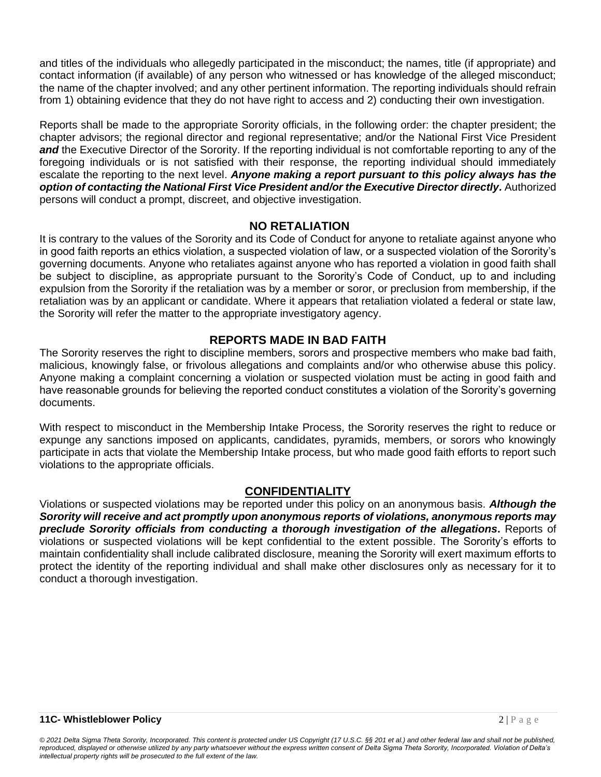and titles of the individuals who allegedly participated in the misconduct; the names, title (if appropriate) and contact information (if available) of any person who witnessed or has knowledge of the alleged misconduct; the name of the chapter involved; and any other pertinent information. The reporting individuals should refrain from 1) obtaining evidence that they do not have right to access and 2) conducting their own investigation.

Reports shall be made to the appropriate Sorority officials, in the following order: the chapter president; the chapter advisors; the regional director and regional representative; and/or the National First Vice President *and* the Executive Director of the Sorority. If the reporting individual is not comfortable reporting to any of the foregoing individuals or is not satisfied with their response, the reporting individual should immediately escalate the reporting to the next level. *Anyone making a report pursuant to this policy always has the option of contacting the National First Vice President and/or the Executive Director directly.* Authorized persons will conduct a prompt, discreet, and objective investigation.

#### **NO RETALIATION**

It is contrary to the values of the Sorority and its Code of Conduct for anyone to retaliate against anyone who in good faith reports an ethics violation, a suspected violation of law, or a suspected violation of the Sorority's governing documents. Anyone who retaliates against anyone who has reported a violation in good faith shall be subject to discipline, as appropriate pursuant to the Sorority's Code of Conduct, up to and including expulsion from the Sorority if the retaliation was by a member or soror, or preclusion from membership, if the retaliation was by an applicant or candidate. Where it appears that retaliation violated a federal or state law, the Sorority will refer the matter to the appropriate investigatory agency.

#### **REPORTS MADE IN BAD FAITH**

The Sorority reserves the right to discipline members, sorors and prospective members who make bad faith, malicious, knowingly false, or frivolous allegations and complaints and/or who otherwise abuse this policy. Anyone making a complaint concerning a violation or suspected violation must be acting in good faith and have reasonable grounds for believing the reported conduct constitutes a violation of the Sorority's governing documents.

With respect to misconduct in the Membership Intake Process, the Sorority reserves the right to reduce or expunge any sanctions imposed on applicants, candidates, pyramids, members, or sorors who knowingly participate in acts that violate the Membership Intake process, but who made good faith efforts to report such violations to the appropriate officials.

#### **CONFIDENTIALITY**

Violations or suspected violations may be reported under this policy on an anonymous basis. *Although the Sorority will receive and act promptly upon anonymous reports of violations, anonymous reports may preclude Sorority officials from conducting a thorough investigation of the allegations***.** Reports of violations or suspected violations will be kept confidential to the extent possible. The Sorority's efforts to maintain confidentiality shall include calibrated disclosure, meaning the Sorority will exert maximum efforts to protect the identity of the reporting individual and shall make other disclosures only as necessary for it to conduct a thorough investigation.

*© 2021 Delta Sigma Theta Sorority, Incorporated. This content is protected under US Copyright (17 U.S.C. §§ 201 et al.) and other federal law and shall not be published, reproduced, displayed or otherwise utilized by any party whatsoever without the express written consent of Delta Sigma Theta Sorority, Incorporated. Violation of Delta's intellectual property rights will be prosecuted to the full extent of the law.*